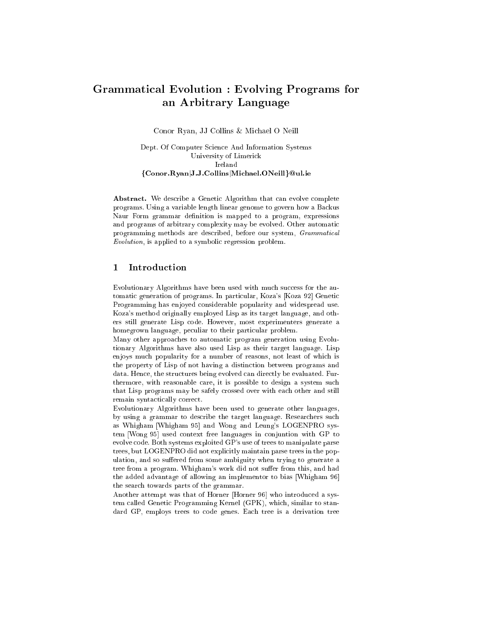# Grammatical Evolution : Evolving Programs for an Arbitrary Language

Conor Ryan, JJ Collins & Michael <sup>O</sup> Neill

Dept. Of Computer Science And Information Systems University of Limerick Ireland fConor.RyanjJ.J.CollinsjMichael.ONeillg@ul.ie

Abstract. We describe a Genetic Algorithm that can evolve complete programs. Using a variable length linear genome to govern how a Backus Naur Form grammar definition is mapped to a program, expressions and programs of arbitrary complexity may be evolved. Other automatic programming methods are described, before our system, Grammatical Evolution, is applied to a symbolic regression problem.

### 1 Introduction

Evolutionary Algorithms have been used with much success for the automatic generation of programs. In particular, Koza's [Koza 92] Genetic Programming has enjoyed considerable popularity and widespread use. Koza's method originally employed Lisp as its target language, and others still generate Lisp code. However, most experimenters generate a homegrown language, peculiar to their particular problem.

Many other approaches to automatic program generation using Evolutionary Algorithms have also used Lisp as their target language. Lisp enjoys much popularity for a number of reasons, not least of which is the property of Lisp of not having a distinction between programs and data. Hence, the structures being evolved can directly be evaluated. Furthermore, with reasonable care, it is possible to design a system such that Lisp programs may be safely crossed over with each other and still remain syntactically correct.

Evolutionary Algorithms have been used to generate other languages, by using a grammar to describe the target language. Researchers such as Whigham [Whigham 95] and Wong and Leung's LOGENPRO system [Wong 95] used context free languages in conjuntion with GP to evolve code. Both systems exploited GP's use of trees to manipulate parse trees, but LOGENPRO did not explicitly maintain parse trees in the population, and so suffered from some ambiguity when trying to generate a tree from a program. Whigham's work did not suffer from this, and had the added advantage of allowing an implementor to bias [Whigham 96] the search towards parts of the grammar.

Another attempt was that of Horner [Horner 96] who introduced a system called Genetic Programming Kernel (GPK), which, similar to standard GP, employs trees to code genes. Each tree is a derivation tree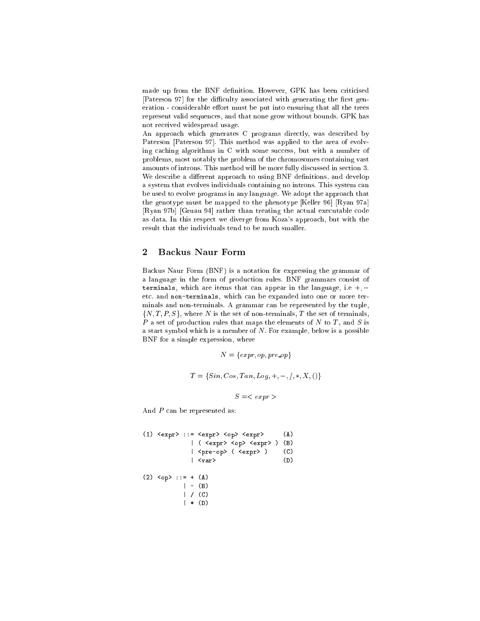made up from the BNF definition. However, GPK has been criticised [Paterson 97] for the difficulty associated with generating the first generation - considerable effort must be put into ensuring that all the trees represent valid sequences, and that none grow without bounds. GPK has not received widespread usage.

An approach which generates C programs directly, was described by Paterson [Paterson 97]. This method was applied to the area of evolving caching algorithms in C with some success, but with a number of problems, most notably the problem of the chromosomes containing vast amounts of introns. This method will be more fully discussed in section 3. We describe a different approach to using BNF definitions, and develop a system that evolves individuals containing no introns. This system can be used to evolve programs in any language. We adopt the approach that the genotype must be mapped to the phenotype [Keller 96] [Ryan 97a] [Ryan 97b] [Gruau 94] rather than treating the actual executable code as data. In this respect we diverge from Koza's approach, but with the result that the individuals tend to be much smaller.

#### $\overline{2}$ **Backus Naur Form**

Backus Naur Form (BNF) is a notation for expressing the grammar of a language in the form of production rules. BNF grammars consist of terminals, which are items that can appear in the language, i.e  $+,$ etc. and non-terminals, which can be expanded into one or more terminals and non-terminals. A grammar can be represented by the tuple,  $\{N, T, P, S\}$ , where N is the set of non-terminals, T the set of terminals, P a set of production rules that maps the elements of  $N$  to  $T$ , and  $S$  is a start symbol which is a member of  $N$ . For example, below is a possible BNF for a simple expression, where

$$
N = \{expr, op, pre\_op\}
$$

$$
T = \{Sin, Cos, Tan, Log, +, -, /, *, X, ()\}
$$

 $S = \langle expr \rangle$ 

And P can be represented as:

```
(1) <expr> ::= <expr> <op> <expr> (A)
                            | ( <expr> <op> <expr> ) (B)
                            | <pre-op> ( <expr> ) (C)
                            \vert \langle var \rangle(D)\sim (D) \sim (D) \sim (D) \sim (D) \sim (D) \sim (D) \sim (D) \sim (D) \sim (D) \sim (D) \sim (D) \sim (D) \sim (D) \sim (D) \sim (D) \sim (D) \sim (D) \sim (D) \sim (D) \sim (D) \sim (D) \sim (D) \sim (D) \sim (D) \sim 
(2) <op> ::= + (A)
                       | - (B)\mid / (C)
                        | * (D)
```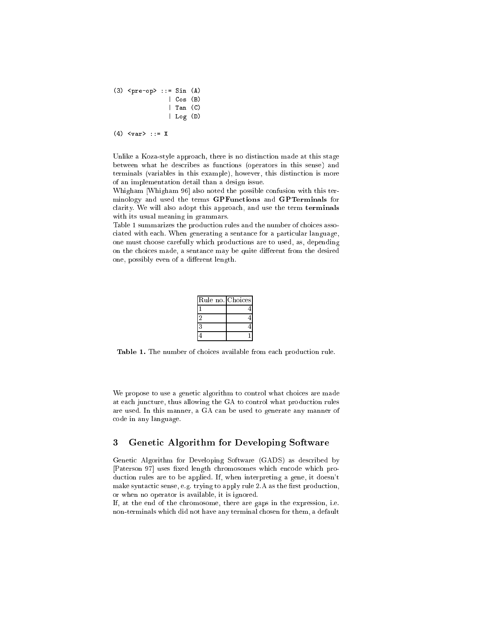```
(3) \langle \text{pre-op} \rangle ::= Sin (A)
                     | Cos (B)
                      | Tan (C)
                     | Log (D)
```
 $(4)$  <var> ::= X

Unlike a Koza-style approach, there is no distinction made at this stage between what he describes as functions (operators in this sense) and terminals (variables in this example), however, this distinction is more of an implementation detail than a design issue.

Whigham [Whigham 96] also noted the possible confusion with this terminology and used the terms GPFunctions and GPTerminals for clarity. We will also adopt this approach, and use the term terminals with its usual meaning in grammars.

Table 1 summarizes the production rules and the number of choices associated with each. When generating a sentance for a particular language, one must choose carefully which productions are to used, as, depending on the choices made, a sentance may be quite different from the desired one, possibly even of a different length.

| Rule no [Choices |  |
|------------------|--|
|                  |  |
| 2                |  |
| 3                |  |
|                  |  |
|                  |  |

Table 1. The number of choices available from each production rule.

We propose to use a genetic algorithm to control what choices are made at each juncture, thus allowing the GA to control what production rules are used. In this manner, a GA can be used to generate any manner of code in any language.

### 3 Genetic Algorithm for Developing Software

Genetic Algorithm for Developing Software (GADS) as described by [Paterson 97] uses fixed length chromosomes which encode which production rules are to be applied. If, when interpreting a gene, it doesn't make syntactic sense, e.g. trying to apply rule 2.A as the first production, or when no operator is available, it is ignored.

If, at the end of the chromosome, there are gaps in the expression, i.e. non-terminals which did not have any terminal chosen for them, a default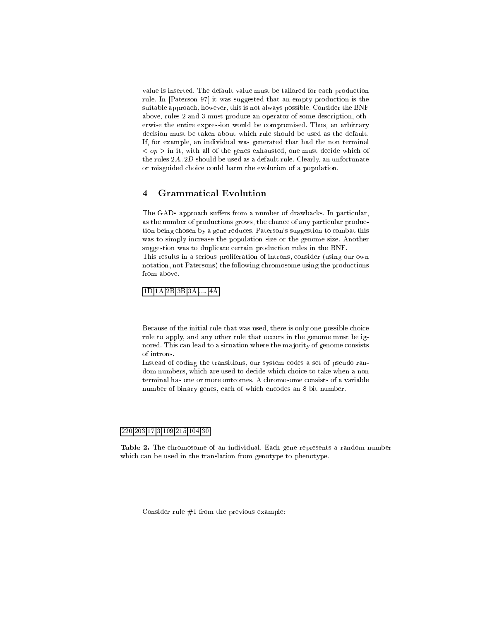value is inserted. The default value must be tailored for each production rule. In [Paterson 97] it was suggested that an empty production is the suitable approach, however, this is not always possible. Consider the BNF above, rules 2 and 3 must produce an operator of some description, otherwise the entire expression would be compromised. Thus, an arbitrary decision must be taken about which rule should be used as the default. If, for example, an individual was generated that had the non terminal  $\langle op \rangle$  in it, with all of the genes exhausted, one must decide which of the rules  $2A..2D$  should be used as a default rule. Clearly, an unfortunate or misguided choice could harm the evolution of a population.

#### $\overline{4}$ **Grammatical Evolution**

The GADs approach suffers from a number of drawbacks. In particular, as the number of productions grows, the chance of any particular production being chosen by a gene reduces. Paterson's suggestion to combat this was to simply increase the population size or the genome size. Another suggestion was to duplicate certain production rules in the BNF.

This results in a serious proliferation of introns, consider (using our own notation, not Patersons) the following chromosome using the productions from above.

## $|1D|1A|2B|3B|3A|...|4A$

Because of the initial rule that was used, there is only one possible choice rule to apply, and any other rule that occurs in the genome must be ignored. This can lead to a situation where the majority of genome consists of introns.

Instead of coding the transitions, our system codes a set of pseudo random numbers, which are used to decide which choice to take when a non terminal has one or more outcomes. A chromosome consists of a variable number of binary genes, each of which encodes an 8 bit number.

### 220 203 17 3 109 215 104 30

Table 2. The chromosome of an individual. Each gene represents a random number which can be used in the translation from genotype to phenotype.

Consider rule #1 from the previous example: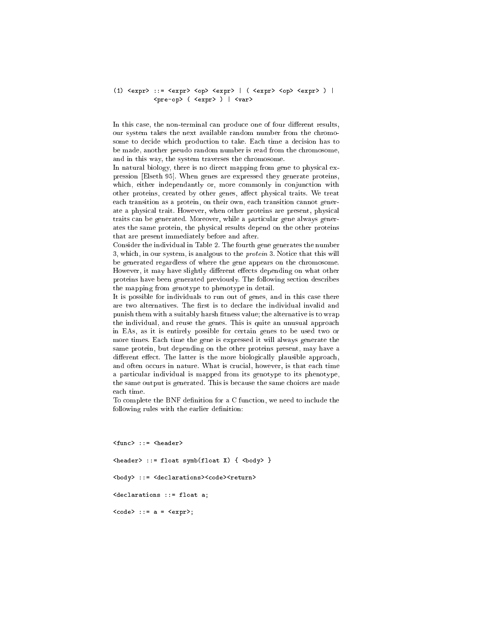### (1)  $\langle \text{expr} \rangle$  ::=  $\langle \text{expr} \rangle$   $\langle \text{opp} \rangle$   $\langle \text{expr} \rangle$  | (  $\langle \text{expr} \rangle$   $\langle \text{opp} \rangle$   $\langle \text{expr} \rangle$  ) | <pre-op> ( <expr> ) | <var>

In this case, the non-terminal can produce one of four different results, our system takes the next available random number from the chromosome to decide which production to take. Each time a decision has to be made, another pseudo random number is read from the chromosome, and in this way, the system traverses the chromosome.

In natural biology, there is no direct mapping from gene to physical expression [Elseth 95]. When genes are expressed they generate proteins, which, either independantly or, more commonly in conjunction with other proteins, created by other genes, affect physical traits. We treat each transition as a protein, on their own, each transition cannot generate a physical trait. However, when other proteins are present, physical traits can be generated. Moreover, while a particular gene always generates the same protein, the physical results depend on the other proteins that are present immediately before and after.

Consider the individual in Table 2. The fourth gene generates the number 3, which, in our system, is analgous to the protein 3. Notice that this will be generated regardless of where the gene appears on the chromosome. However, it may have slightly different effects depending on what other proteins have been generated previously. The following section describes the mapping from genotype to phenotype in detail.

It is possible for individuals to run out of genes, and in this case there are two alternatives. The first is to declare the individual invalid and punish them with a suitably harsh fitness value; the alternative is to wrap the individual, and reuse the genes. This is quite an unusual approach in EAs, as it is entirely possible for certain genes to be used two or more times. Each time the gene is expressed it will always generate the same protein, but depending on the other proteins present, may have a different effect. The latter is the more biologically plausible approach, and often occurs in nature. What is crucial, however, is that each time a particular individual is mapped from its genotype to its phenotype, the same output is generated. This is because the same choices are made each time.

To complete the BNF definition for a C function, we need to include the following rules with the earlier definition:

<func> ::= <header>  $\{ \text{header} \}$  ::= float symb(float X) {  $\{ \text{body} \}$  } <br />
sody> ::= <declarations><code><return> <declarations ::= float a;  $\texttt{`code>} :: = a = \texttt{};`$ </sup>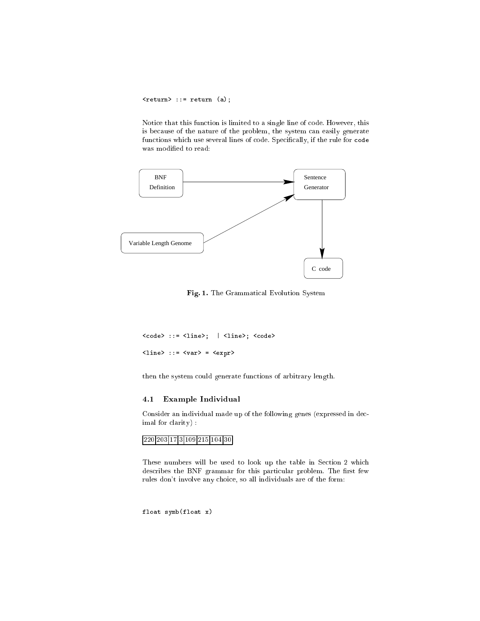<return> ::= return (a);

Notice that this function is limited to a single line of code. However, this is because of the nature of the problem, the system can easily generate functions which use several lines of code. Specifically, if the rule for code was modied to read:



Fig. 1. The Grammatical Evolution System

```
\texttt{ <code>code> ::= \text{ {line}}; | \text{ {line}}; \text{ {line}}; \text{ {line}};\langleline> ::= \langle var \rangle = \langle expr \rangle
```
then the system could generate functions of arbitrary length.

#### 4.1Example Individual

Consider an individual made up of the following genes (expressed in decimal for clarity) :

### 220 203 17 3 109 215 104 30

These numbers will be used to look up the table in Section 2 which describes the BNF grammar for this particular problem. The first few rules don't involve any choice, so all individuals are of the form:

float symb(float x)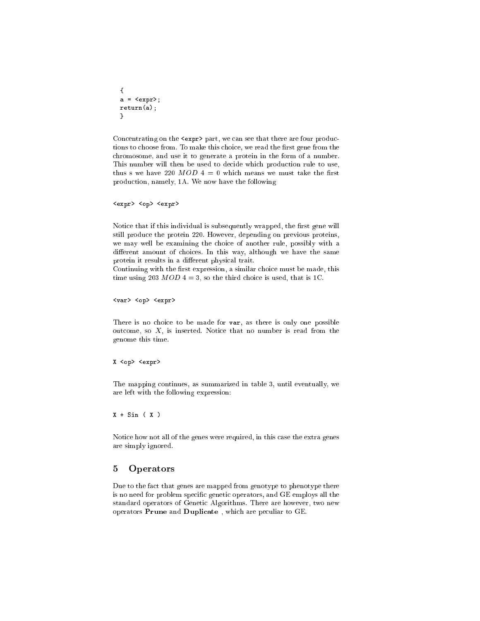{  $a = \langle expr \rangle$ ; return(a); }

Concentrating on the  $\langle \texttt{expr} \rangle$  part, we can see that there are four productions to choose from. To make this choice, we read the first gene from the chromosome, and use it to generate a protein in the form of a number. This number will then be used to decide which production rule to use, thus s we have 220  $MOD_4=0$  which means we must take the first production, namely, 1A. We now have the following

<expr> <op> <expr>

Notice that if this individual is subsequently wrapped, the first gene will still produce the protein 220. However, depending on previous proteins, we may well be examining the choice of another rule, possibly with a different amount of choices. In this way, although we have the same protein it results in a different physical trait.

Continuing with the first expression, a similar choice must be made, this time using 203  $MOD = 4 = 3$ , so the third choice is used, that is 1C.

<var> <op> <expr>

There is no choice to be made for var, as there is only one possible outcome, so  $X$ , is inserted. Notice that no number is read from the genome this time.

X <op> <expr>

The mapping continues, as summarized in table 3, until eventually, we are left with the following expression:

 $X + Sin(X)$ 

Notice how not all of the genes were required, in this case the extra genes are simply ignored.

### 5 Operators

Due to the fact that genes are mapped from genotype to phenotype there is no need for problem specic genetic operators, and GE employs all the standard operators of Genetic Algorithms. There are however, two new operators Prune and Duplicate , which are peculiar to GE.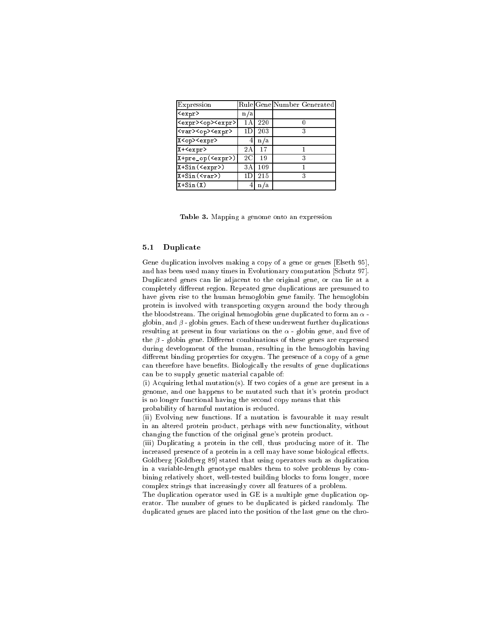| Expression                          |         |        | Rule Gene Number Generated |
|-------------------------------------|---------|--------|----------------------------|
| <expr></expr>                       | a<br>n/ |        |                            |
| <expr><op><expr></expr></op></expr> | 1 A     | 220    |                            |
| <var><op><expr></expr></op></var>   | 11)     | 203    | 3                          |
| X <op><expr></expr></op>            | 4       | n/a    |                            |
| X+ <expr></expr>                    | 2 A     | 17     |                            |
| X+pre_op( <expr>)</expr>            | 2C      | 19     | 3                          |
| $X+Sim(exp)$                        | 3Α      | 109    |                            |
| $X+Sim(var)$                        | 1D      | 215    | 3                          |
| $X + S \in (X)$                     |         | n<br>a |                            |

Table 3. Mapping a genome onto an expression

#### 5.1Duplicate

Gene duplication involves making a copy of a gene or genes [Elseth 95], and has been used many times in Evolutionary computation [Schutz 97]. Duplicated genes can lie adjacent to the original gene, or can lie at a completely different region. Repeated gene duplications are presumed to have given rise to the human hemoglobin gene family. The hemoglobin protein is involved with transporting oxygen around the body through the bloodstream. The original hemoglobin gene duplicated to form an  $\alpha$ globin, and  $\beta$  - globin genes. Each of these underwent further duplications resulting at present in four variations on the  $\alpha$  - globin gene, and five of the  $\beta$  - globin gene. Different combinations of these genes are expressed during development of the human, resulting in the hemoglobin having different binding properties for oxygen. The presence of a copy of a gene can therefore have benefits. Biologically the results of gene duplications can be to supply genetic material capable of:

(i) Acquiring lethal mutation(s). If two copies of a gene are present in a genome, and one happens to be mutated such that it's protein product is no longer functional having the second copy means that this

probability of harmful mutation is reduced.

(ii) Evolving new functions. If a mutation is favourable it may result in an altered protein product, perhaps with new functionality, without changing the function of the original gene's protein product.

(iii) Duplicating a protein in the cell, thus producing more of it. The increased presence of a protein in a cell may have some biological effects. Goldberg [Goldberg 89] stated that using operators such as duplication in a variable-length genotype enables them to solve problems by combining relatively short, well-tested building blocks to form longer, more complex strings that increasingly cover all features of a problem.

The duplication operator used in GE is a multiple gene duplication operator. The number of genes to be duplicated is picked randomly. The duplicated genes are placed into the position of the last gene on the chro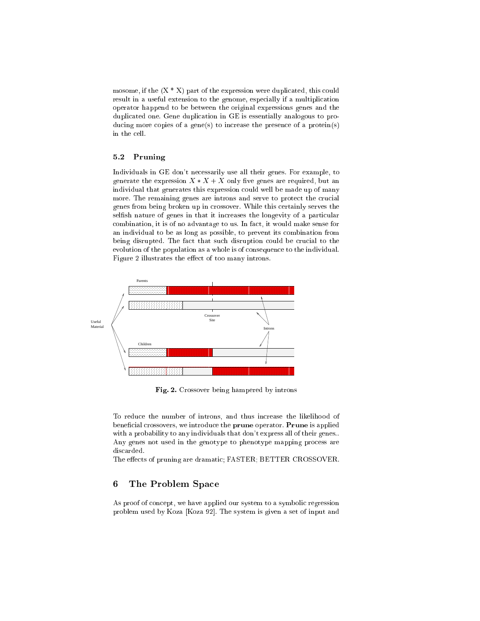mosome, if the  $(X * X)$  part of the expression were duplicated, this could result in a useful extension to the genome, especially if a multiplication operator happend to be between the original expressions genes and the duplicated one. Gene duplication in GE is essentially analogous to producing more copies of a gene(s) to increase the presence of a protein(s) in the cell.

#### 5.2Pruning

Individuals in GE don't necessarily use all their genes. For example, to generate the expression  $X \times X + X$  only five genes are required, but an individual that generates this expression could well be made up of many more. The remaining genes are introns and serve to protect the crucial genes from being broken up in crossover. While this certainly serves the selfish nature of genes in that it increases the longevity of a particular combination, it is of no advantage to us. In fact, it would make sense for an individual to be as long as possible, to prevent its combination from being disrupted. The fact that such disruption could be crucial to the evolution of the population as a whole is of consequence to the individual. Figure 2 illustrates the effect of too many introns.



Fig. 2. Crossover being hampered by introns

To reduce the number of introns, and thus increase the likelihood of beneficial crossovers, we introduce the prune operator. Prune is applied with a probability to any individuals that don't express all of their genes.. Any genes not used in the genotype to phenotype mapping process are discarded.

The effects of pruning are dramatic; FASTER; BETTER CROSSOVER.

#### 6 The Problem Space

As proof of concept, we have applied our system to a symbolic regression problem used by Koza [Koza 92]. The system is given a set of input and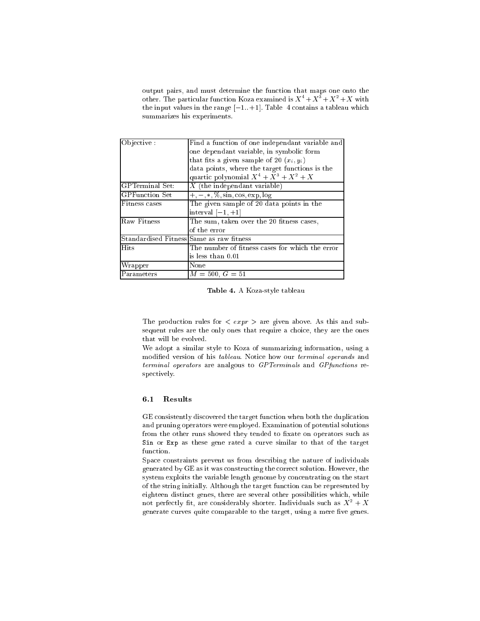output pairs, and must determine the function that maps one onto the other. The particular function Koza examined is  $X^4+X^3+X^2+X$  with the input values in the range  $[-1..+1]$ . Table 4 contains a tableau which summarizes his experiments.

| Objective :                              | Find a function of one independant variable and |
|------------------------------------------|-------------------------------------------------|
|                                          | one dependant variable, in symbolic form        |
|                                          | that fits a given sample of 20 $(x_i, y_i)$     |
|                                          | data points, where the target functions is the  |
|                                          | quartic polynomial $X^4 + X^3 + X^2 + X$        |
| GPTerminal Set:                          | $X$ (the independant variable)                  |
| <b>GPFunction Set</b>                    | $+, -, *, \%$ , sin, cos, exp, log              |
| Fitness cases                            | The given sample of 20 data points in the       |
|                                          | interval $[-1, +1]$                             |
| Raw Fitness                              | The sum, taken over the 20 fitness cases,       |
|                                          | of the error                                    |
| Standardised Fitness Same as raw fitness |                                                 |
| <b>Hits</b>                              | The number of fitness cases for which the error |
|                                          | is less than $0.01$                             |
| Wrapper                                  | None                                            |
| Parameters                               | $M = 500, G = 51$                               |

Table 4. A Koza-style tableau

The production rules for  $\langle expr \rangle$  are given above. As this and subsequent rules are the only ones that require a choice, they are the ones that will be evolved.

We adopt a similar style to Koza of summarizing information, using a modied version of his tableau. Notice how our terminal operands and terminal operators are analgous to GPTerminals and GPfunctions respectively.

#### $6.1$ Results

GE consistently discovered the target function when both the duplication and pruning operators were employed. Examination of potential solutions from the other runs showed they tended to fixate on operators such as Sin or Exp as these gene rated a curve similar to that of the target function.

Space constraints prevent us from describing the nature of individuals generated by GE as it was constructing the correct solution. However, the system exploits the variable length genome by concentrating on the start of the string initially. Although the target function can be represented by eighteen distinct genes, there are several other possibilities which, while not perfectly fit, are considerably shorter. Individuals such as  $X^2+X$ generate curves quite comparable to the target, using a mere five genes.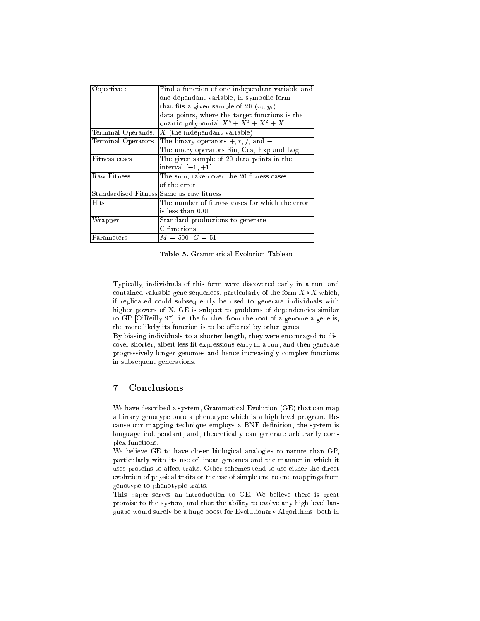| Objective :                              | Find a function of one independant variable and |
|------------------------------------------|-------------------------------------------------|
|                                          | one dependant variable, in symbolic form        |
|                                          | that fits a given sample of 20 $(x_i, y_i)$     |
|                                          | data points, where the target functions is the  |
|                                          | quartic polynomial $X^4 + X^3 + X^2 + X$        |
| Terminal Operands:                       | $X$ (the independant variable)                  |
| Terminal Operators                       | The binary operators $+, *, /,$ and $-$         |
|                                          | The unary operators Sin, Cos, Exp and Log       |
| Fitness cases                            | The given sample of 20 data points in the       |
|                                          | interval $[-1, +1]$                             |
| Raw Fitness                              | The sum, taken over the 20 fitness cases,       |
|                                          | of the error                                    |
| Standardised Fitness Same as raw fitness |                                                 |
| <b>Hits</b>                              | The number of fitness cases for which the error |
|                                          | is less than 0.01                               |
| Wrapper                                  | Standard productions to generate                |
|                                          | C functions                                     |
| Parameters                               | $M = 500, G = 51$                               |

Table 5. Grammatical Evolution Tableau

Typically, individuals of this form were discovered early in a run, and contained valuable gene sequences, particularly of the form  $X \times X$  which, if replicated could subsequently be used to generate individuals with higher powers of X. GE is sub ject to problems of dependencies similar to GP [O'Reilly 97], i.e. the further from the root of a genome a gene is, the more likely its function is to be affected by other genes.

By biasing individuals to a shorter length, they were encouraged to discover shorter, albeit less fit expressions early in a run, and then generate progressively longer genomes and hence increasingly complex functions in subsequent generations.

# 7 Conclusions

We have described a system, Grammatical Evolution (GE) that can map a binary genotype onto a phenotype which is a high level program. Because our mapping technique employs a BNF denition, the system is language independant, and, theoretically can generate arbitrarily complex functions.

We believe GE to have closer biological analogies to nature than GP, particularly with its use of linear genomes and the manner in which it uses proteins to affect traits. Other schemes tend to use either the direct evolution of physical traits or the use of simple one to one mappings from genotype to phenotypic traits.

This paper serves an introduction to GE. We believe there is great promise to the system, and that the ability to evolve any high level language would surely be a huge boost for Evolutionary Algorithms, both in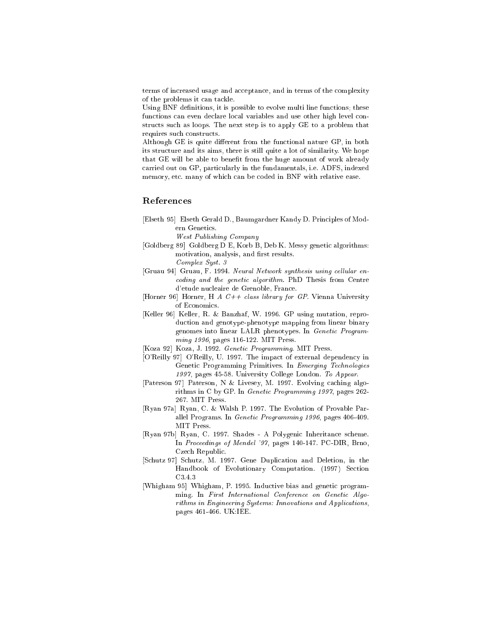terms of increased usage and acceptance, and in terms of the complexity of the problems it can tackle.

Using BNF definitions, it is possible to evolve multi line functions; these functions can even declare local variables and use other high level constructs such as loops. The next step is to apply GE to a problem that requires such constructs.

Although GE is quite different from the functional nature GP, in both its structure and its aims, there is still quite a lot of similarity. We hope that GE will be able to benefit from the huge amount of work already carried out on GP, particularly in the fundamentals, i.e. ADFS, indexed memory, etc. many of which can be coded in BNF with relative ease.

### References

- [Elseth 95] Elseth Gerald D., Baumgardner Kandy D. Principles of Modern Genetics.
	- West Publishing Company
- [Goldberg 89] Goldberg D E, Korb B, Deb K. Messy genetic algorithms: motivation, analysis, and first results.
	- Complex Syst. 3
- [Gruau 94] Gruau, F. 1994. Neural Network synthesis using cellular encoding and the genetic algorithm. PhD Thesis from Centre d'etude nucleaire de Grenoble, France.
- [Horner 96] Horner, H  $A$   $C++$  class library for GP. Vienna University of Economics.
- [Keller 96] Keller, R. & Banzhaf, W. 1996. GP using mutation, reproduction and genotype-phenotype mapping from linear binary genomes into linear LALR phenotypes. In Genetic Programming 1996, pages 116-122. MIT Press.
- [Koza 92] Koza, J. 1992. Genetic Programming. MIT Press.
- [O'Reilly 97] O'Reilly, U. 1997. The impact of external dependency in Genetic Programming Primitives. In Emerging Technologies 1997, pages 45-58. University College London. To Appear.
- [Paterson 97] Paterson, N & Livesey, M. 1997. Evolving caching algorithms in C by GP. In Genetic Programming 1997, pages 262- 267. MIT Press.
- [Ryan 97a] Ryan, C. & Walsh P. 1997. The Evolution of Provable Parallel Programs. In Genetic Programming 1996, pages 406-409. MIT Press.
- [Ryan 97b] Ryan, C. 1997. Shades A Polygenic Inheritance scheme. In Proceedings of Mendel '97, pages 140-147. PC-DIR, Brno, Czech Republic.
- [Schutz 97] Schutz, M. 1997. Gene Duplication and Deletion, in the Handbook of Evolutionary Computation. (1997) Section  $C3.4.3$
- [Whigham 95] Whigham, P. 1995. Inductive bias and genetic programming. In First International Conference on Genetic Algorithms in Engineering Systems: Innovations and Applications, pages 461-466. UK:IEE.